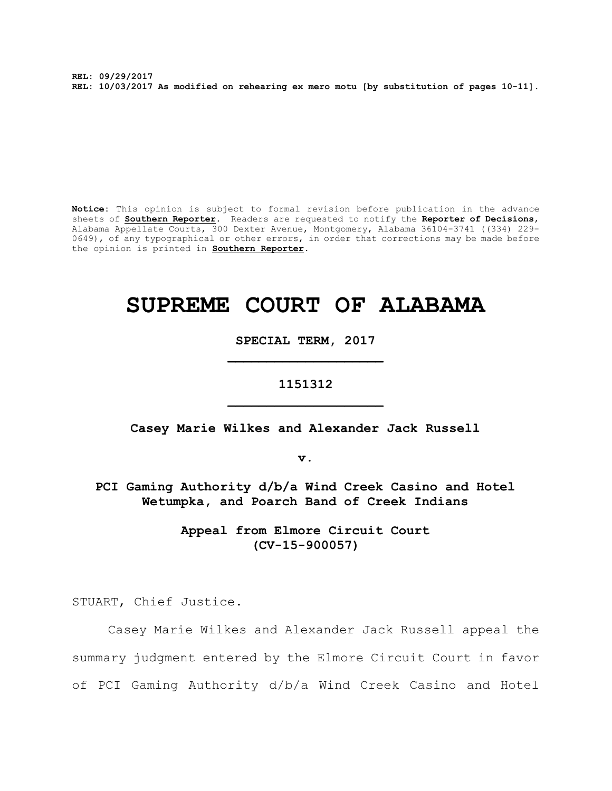**REL: 09/29/2017 REL: 10/03/2017 As modified on rehearing ex mero motu [by substitution of pages 10-11].**

**Notice:** This opinion is subject to formal revision before publication in the advance sheets of **Southern Reporter**. Readers are requested to notify the **Reporter of Decisions**, Alabama Appellate Courts, 300 Dexter Avenue, Montgomery, Alabama 36104-3741 ((334) 229- 0649), of any typographical or other errors, in order that corrections may be made before the opinion is printed in **Southern Reporter**.

# **SUPREME COURT OF ALABAMA**

**SPECIAL TERM, 2017 \_\_\_\_\_\_\_\_\_\_\_\_\_\_\_\_\_\_\_\_**

# **1151312 \_\_\_\_\_\_\_\_\_\_\_\_\_\_\_\_\_\_\_\_**

**Casey Marie Wilkes and Alexander Jack Russell**

**v.**

**PCI Gaming Authority d/b/a Wind Creek Casino and Hotel Wetumpka, and Poarch Band of Creek Indians**

> **Appeal from Elmore Circuit Court (CV-15-900057)**

STUART, Chief Justice.

Casey Marie Wilkes and Alexander Jack Russell appeal the summary judgment entered by the Elmore Circuit Court in favor of PCI Gaming Authority d/b/a Wind Creek Casino and Hotel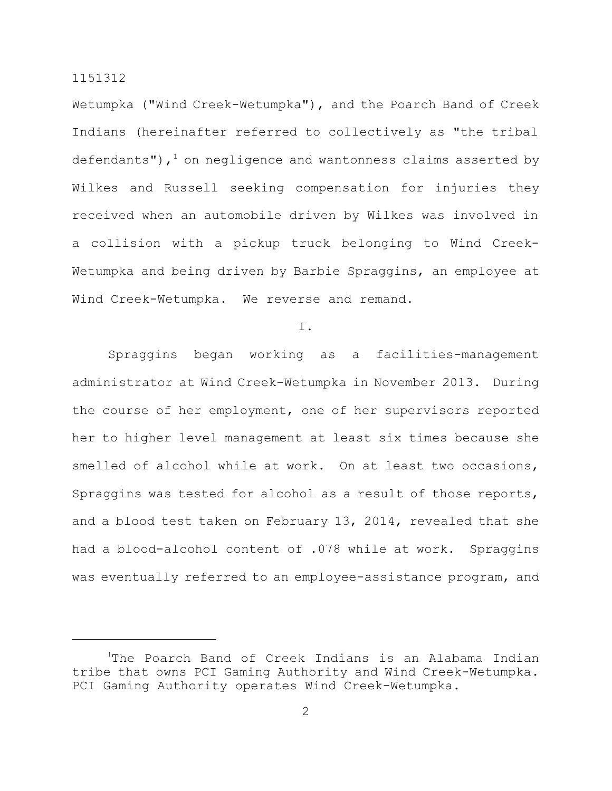Wetumpka ("Wind Creek-Wetumpka"), and the Poarch Band of Creek Indians (hereinafter referred to collectively as "the tribal defendants"),  $1$  on negligence and wantonness claims asserted by Wilkes and Russell seeking compensation for injuries they received when an automobile driven by Wilkes was involved in a collision with a pickup truck belonging to Wind Creek-Wetumpka and being driven by Barbie Spraggins, an employee at Wind Creek-Wetumpka. We reverse and remand.

I.

Spraggins began working as a facilities-management administrator at Wind Creek-Wetumpka in November 2013. During the course of her employment, one of her supervisors reported her to higher level management at least six times because she smelled of alcohol while at work. On at least two occasions, Spraggins was tested for alcohol as a result of those reports, and a blood test taken on February 13, 2014, revealed that she had a blood-alcohol content of .078 while at work. Spraggins was eventually referred to an employee-assistance program, and

<sup>1</sup>The Poarch Band of Creek Indians is an Alabama Indian tribe that owns PCI Gaming Authority and Wind Creek-Wetumpka. PCI Gaming Authority operates Wind Creek-Wetumpka.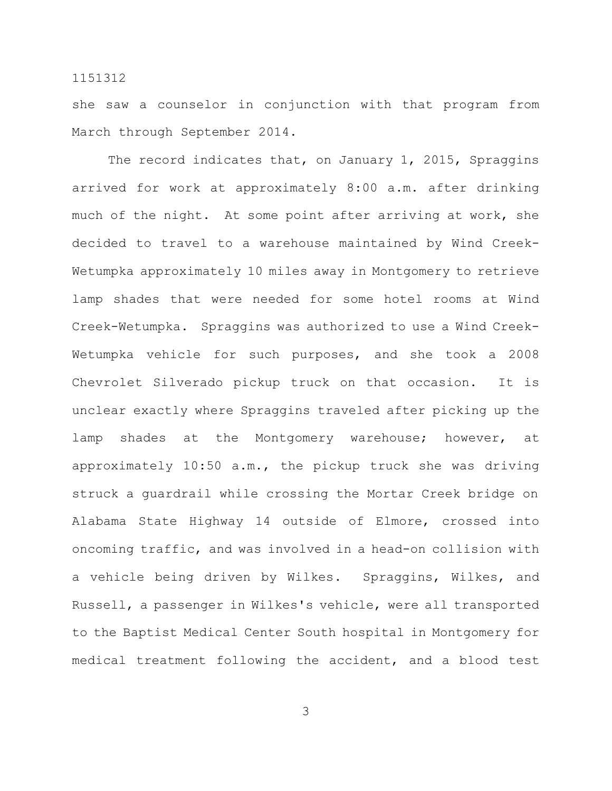she saw a counselor in conjunction with that program from March through September 2014.

The record indicates that, on January 1, 2015, Spraggins arrived for work at approximately 8:00 a.m. after drinking much of the night. At some point after arriving at work, she decided to travel to a warehouse maintained by Wind Creek-Wetumpka approximately 10 miles away in Montgomery to retrieve lamp shades that were needed for some hotel rooms at Wind Creek-Wetumpka. Spraggins was authorized to use a Wind Creek-Wetumpka vehicle for such purposes, and she took a 2008 Chevrolet Silverado pickup truck on that occasion. It is unclear exactly where Spraggins traveled after picking up the lamp shades at the Montgomery warehouse; however, at approximately 10:50 a.m., the pickup truck she was driving struck a guardrail while crossing the Mortar Creek bridge on Alabama State Highway 14 outside of Elmore, crossed into oncoming traffic, and was involved in a head-on collision with a vehicle being driven by Wilkes. Spraggins, Wilkes, and Russell, a passenger in Wilkes's vehicle, were all transported to the Baptist Medical Center South hospital in Montgomery for medical treatment following the accident, and a blood test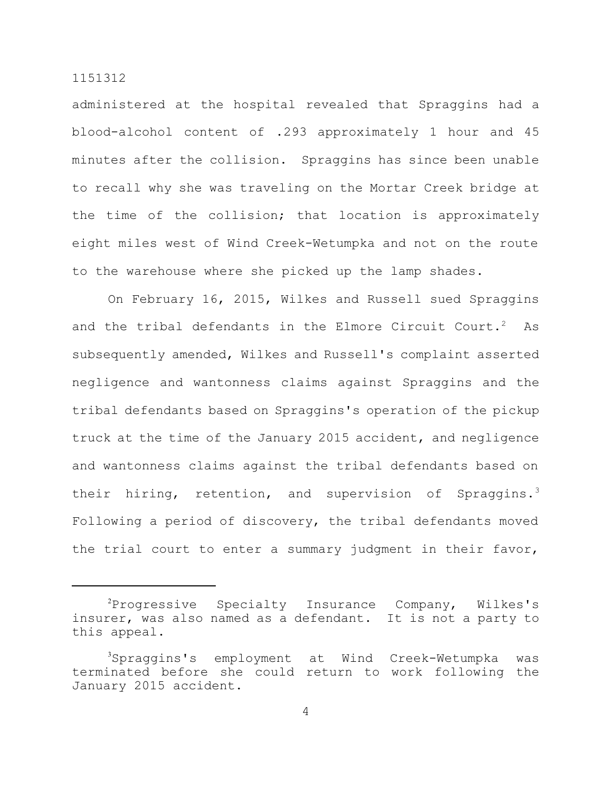administered at the hospital revealed that Spraggins had a blood-alcohol content of .293 approximately 1 hour and 45 minutes after the collision. Spraggins has since been unable to recall why she was traveling on the Mortar Creek bridge at the time of the collision; that location is approximately eight miles west of Wind Creek-Wetumpka and not on the route to the warehouse where she picked up the lamp shades.

On February 16, 2015, Wilkes and Russell sued Spraggins and the tribal defendants in the Elmore Circuit Court.<sup>2</sup> As subsequently amended, Wilkes and Russell's complaint asserted negligence and wantonness claims against Spraggins and the tribal defendants based on Spraggins's operation of the pickup truck at the time of the January 2015 accident, and negligence and wantonness claims against the tribal defendants based on their hiring, retention, and supervision of Spraggins.<sup>3</sup> Following a period of discovery, the tribal defendants moved the trial court to enter a summary judgment in their favor,

<sup>2</sup>Progressive Specialty Insurance Company, Wilkes's insurer, was also named as a defendant. It is not a party to this appeal.

<sup>3</sup>Spraggins's employment at Wind Creek-Wetumpka was terminated before she could return to work following the January 2015 accident.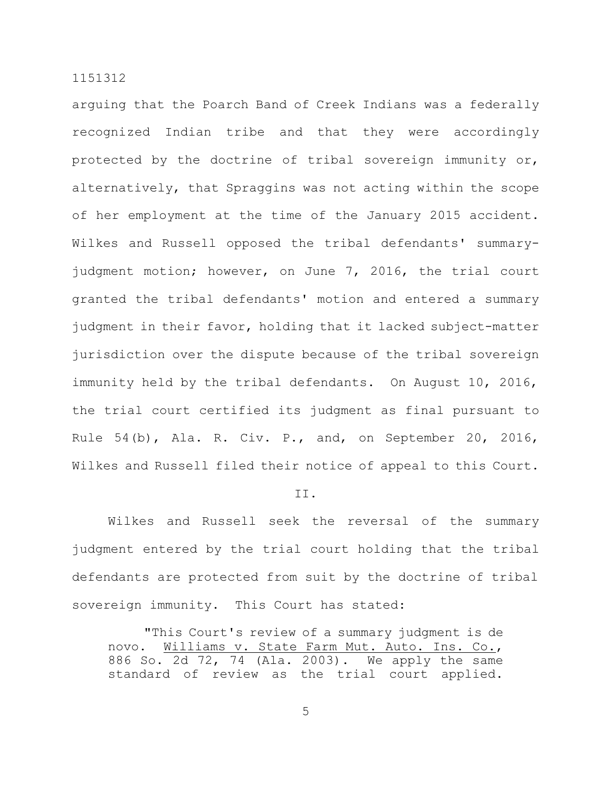arguing that the Poarch Band of Creek Indians was a federally recognized Indian tribe and that they were accordingly protected by the doctrine of tribal sovereign immunity or, alternatively, that Spraggins was not acting within the scope of her employment at the time of the January 2015 accident. Wilkes and Russell opposed the tribal defendants' summaryjudgment motion; however, on June 7, 2016, the trial court granted the tribal defendants' motion and entered a summary judgment in their favor, holding that it lacked subject-matter jurisdiction over the dispute because of the tribal sovereign immunity held by the tribal defendants. On August 10, 2016, the trial court certified its judgment as final pursuant to Rule 54(b), Ala. R. Civ. P., and, on September 20, 2016, Wilkes and Russell filed their notice of appeal to this Court.

II.

Wilkes and Russell seek the reversal of the summary judgment entered by the trial court holding that the tribal defendants are protected from suit by the doctrine of tribal sovereign immunity. This Court has stated:

"This Court's review of a summary judgment is de novo. Williams v. State Farm Mut. Auto. Ins. Co., 886 So. 2d 72, 74 (Ala. 2003). We apply the same standard of review as the trial court applied.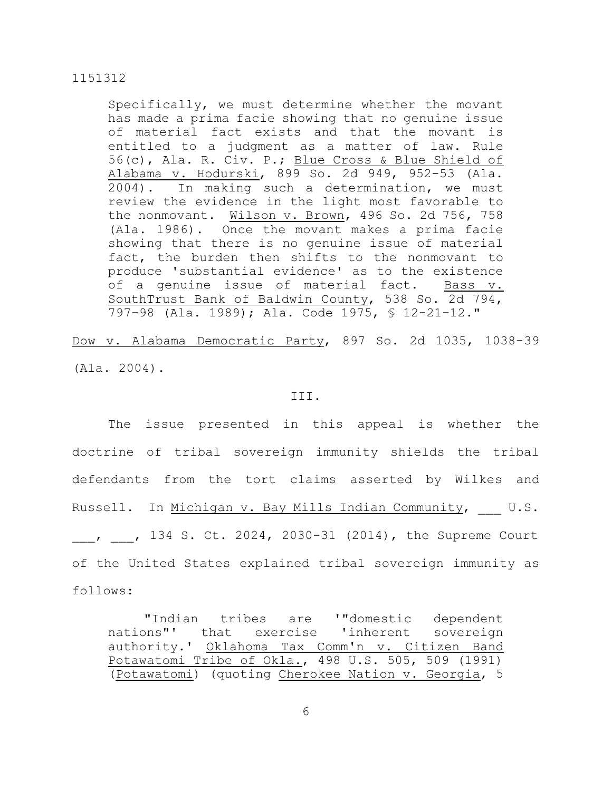Specifically, we must determine whether the movant has made a prima facie showing that no genuine issue of material fact exists and that the movant is entitled to a judgment as a matter of law. Rule 56(c), Ala. R. Civ. P.; Blue Cross & Blue Shield of Alabama v. Hodurski, 899 So. 2d 949, 952-53 (Ala. 2004). In making such a determination, we must review the evidence in the light most favorable to the nonmovant. Wilson v. Brown, 496 So. 2d 756, 758 (Ala. 1986). Once the movant makes a prima facie showing that there is no genuine issue of material fact, the burden then shifts to the nonmovant to produce 'substantial evidence' as to the existence of a genuine issue of material fact. Bass v. SouthTrust Bank of Baldwin County, 538 So. 2d 794, 797-98 (Ala. 1989); Ala. Code 1975, § 12-21-12."

Dow v. Alabama Democratic Party, 897 So. 2d 1035, 1038-39 (Ala. 2004).

#### III.

The issue presented in this appeal is whether the doctrine of tribal sovereign immunity shields the tribal defendants from the tort claims asserted by Wilkes and Russell. In Michigan v. Bay Mills Indian Community, U.S. 134 S. Ct. 2024, 2030-31 (2014), the Supreme Court of the United States explained tribal sovereign immunity as follows:

"Indian tribes are '"domestic dependent nations"' that exercise 'inherent sovereign authority.' Oklahoma Tax Comm'n v. Citizen Band Potawatomi Tribe of Okla., 498 U.S. 505, 509 (1991) (Potawatomi) (quoting Cherokee Nation v. Georgia, 5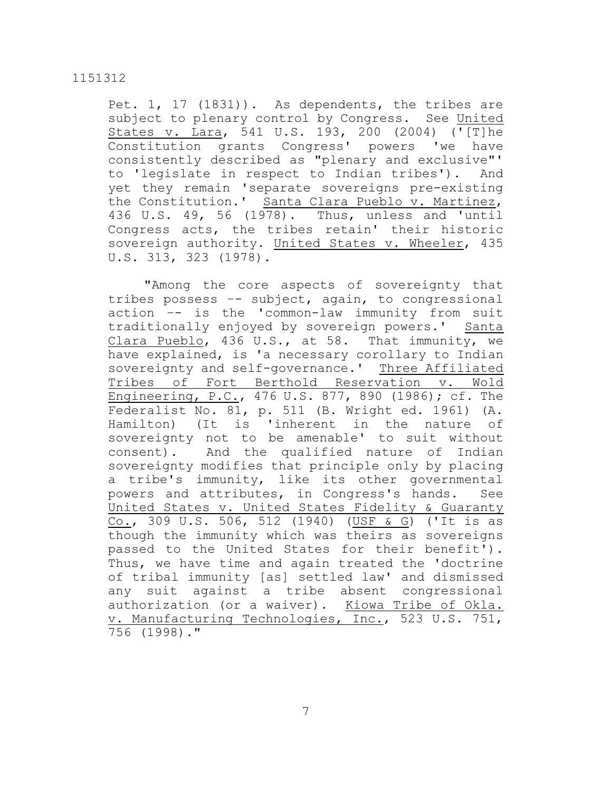Pet. 1, 17 (1831)). As dependents, the tribes are subject to plenary control by Congress. See United States v. Lara, 541 U.S. 193, 200 (2004) ('[T]he Constitution grants Congress' powers 'we have consistently described as "plenary and exclusive"' to 'legislate in respect to Indian tribes'). And yet they remain 'separate sovereigns pre-existing the Constitution.' Santa Clara Pueblo v. Martinez, 436 U.S. 49, 56 (1978). Thus, unless and 'until Congress acts, the tribes retain' their historic sovereign authority. United States v. Wheeler, 435 U.S. 313, 323 (1978).

"Among the core aspects of sovereignty that tribes possess –- subject, again, to congressional action –- is the 'common-law immunity from suit traditionally enjoyed by sovereign powers.' Santa Clara Pueblo, 436 U.S., at 58. That immunity, we have explained, is 'a necessary corollary to Indian sovereignty and self-governance.' Three Affiliated Tribes of Fort Berthold Reservation v. Wold Engineering, P.C., 476 U.S. 877, 890 (1986); cf. The Federalist No. 81, p. 511 (B. Wright ed. 1961) (A. Hamilton) (It is 'inherent in the nature of sovereignty not to be amenable' to suit without consent). And the qualified nature of Indian sovereignty modifies that principle only by placing a tribe's immunity, like its other governmental powers and attributes, in Congress's hands. See United States v. United States Fidelity & Guaranty Co., 309 U.S. 506, 512 (1940) (USF & G) ('It is as though the immunity which was theirs as sovereigns passed to the United States for their benefit'). Thus, we have time and again treated the 'doctrine of tribal immunity [as] settled law' and dismissed any suit against a tribe absent congressional authorization (or a waiver). Kiowa Tribe of Okla. v. Manufacturing Technologies, Inc., 523 U.S. 751, 756 (1998)."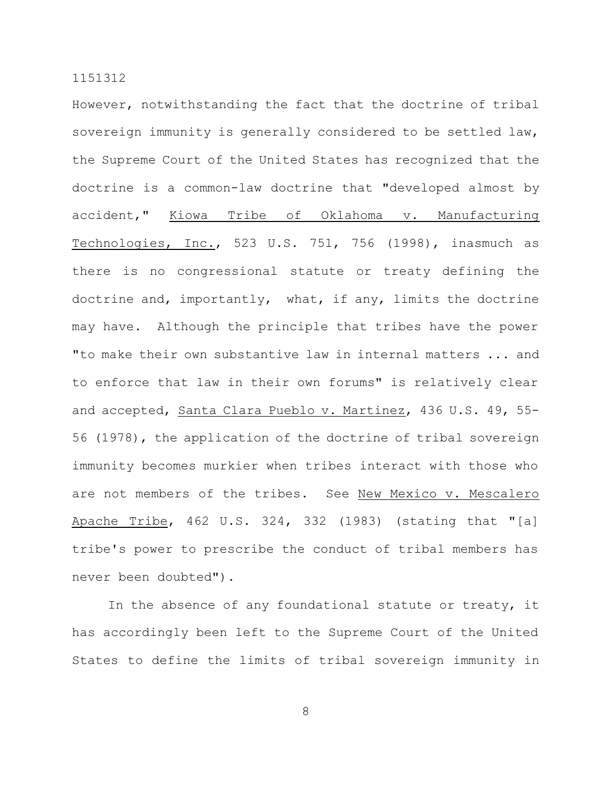However, notwithstanding the fact that the doctrine of tribal sovereign immunity is generally considered to be settled law, the Supreme Court of the United States has recognized that the doctrine is a common-law doctrine that "developed almost by accident," Kiowa Tribe of Oklahoma v. Manufacturing Technologies, Inc., 523 U.S. 751, 756 (1998), inasmuch as there is no congressional statute or treaty defining the doctrine and, importantly, what, if any, limits the doctrine may have. Although the principle that tribes have the power "to make their own substantive law in internal matters ... and to enforce that law in their own forums" is relatively clear and accepted, Santa Clara Pueblo v. Martinez, 436 U.S. 49, 55- 56 (1978), the application of the doctrine of tribal sovereign immunity becomes murkier when tribes interact with those who are not members of the tribes. See New Mexico v. Mescalero Apache Tribe, 462 U.S. 324, 332 (1983) (stating that "[a] tribe's power to prescribe the conduct of tribal members has never been doubted").

In the absence of any foundational statute or treaty, it has accordingly been left to the Supreme Court of the United States to define the limits of tribal sovereign immunity in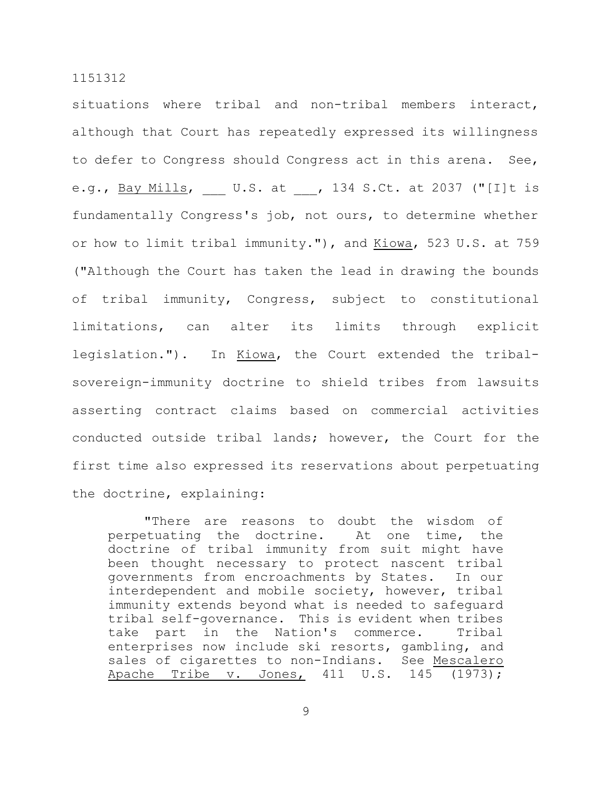situations where tribal and non-tribal members interact, although that Court has repeatedly expressed its willingness to defer to Congress should Congress act in this arena. See, e.g., Bay Mills, U.S. at , 134 S.Ct. at 2037 ("[I]t is fundamentally Congress's job, not ours, to determine whether or how to limit tribal immunity."), and Kiowa, 523 U.S. at 759 ("Although the Court has taken the lead in drawing the bounds of tribal immunity, Congress, subject to constitutional limitations, can alter its limits through explicit legislation."). In Kiowa, the Court extended the tribalsovereign-immunity doctrine to shield tribes from lawsuits asserting contract claims based on commercial activities conducted outside tribal lands; however, the Court for the first time also expressed its reservations about perpetuating the doctrine, explaining:

"There are reasons to doubt the wisdom of perpetuating the doctrine. At one time, the doctrine of tribal immunity from suit might have been thought necessary to protect nascent tribal governments from encroachments by States. In our interdependent and mobile society, however, tribal immunity extends beyond what is needed to safeguard tribal self-governance. This is evident when tribes take part in the Nation's commerce. Tribal enterprises now include ski resorts, gambling, and sales of cigarettes to non-Indians. See Mescalero Apache Tribe v. Jones, 411 U.S. 145 (1973);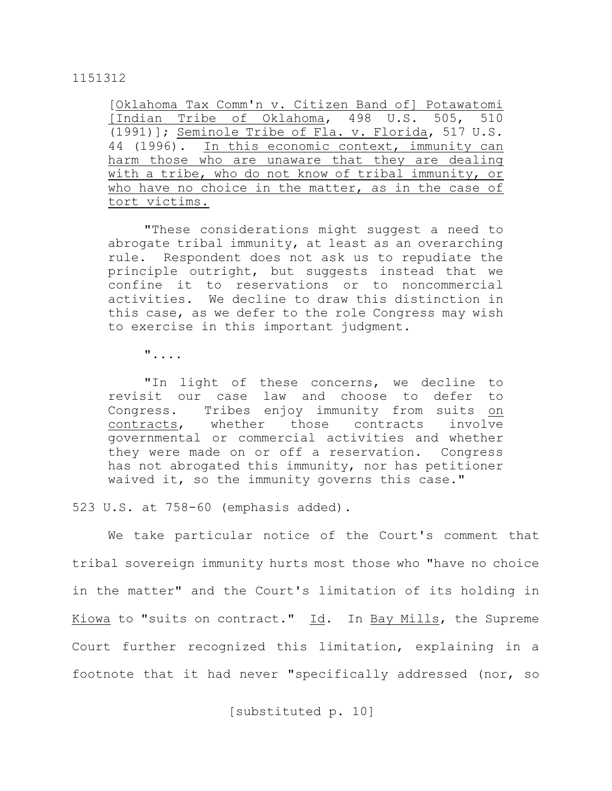[Oklahoma Tax Comm'n v. Citizen Band of] Potawatomi [Indian Tribe of Oklahoma, 498 U.S. 505, 510 (1991)]; Seminole Tribe of Fla. v. Florida, 517 U.S. 44 (1996). In this economic context, immunity can harm those who are unaware that they are dealing with a tribe, who do not know of tribal immunity, or who have no choice in the matter, as in the case of tort victims.

"These considerations might suggest a need to abrogate tribal immunity, at least as an overarching rule. Respondent does not ask us to repudiate the principle outright, but suggests instead that we confine it to reservations or to noncommercial activities. We decline to draw this distinction in this case, as we defer to the role Congress may wish to exercise in this important judgment.

"....

"In light of these concerns, we decline to revisit our case law and choose to defer to Congress. Tribes enjoy immunity from suits on contracts, whether those contracts involve governmental or commercial activities and whether they were made on or off a reservation. Congress has not abrogated this immunity, nor has petitioner waived it, so the immunity governs this case."

523 U.S. at 758-60 (emphasis added).

We take particular notice of the Court's comment that tribal sovereign immunity hurts most those who "have no choice in the matter" and the Court's limitation of its holding in Kiowa to "suits on contract." Id. In Bay Mills, the Supreme Court further recognized this limitation, explaining in a footnote that it had never "specifically addressed (nor, so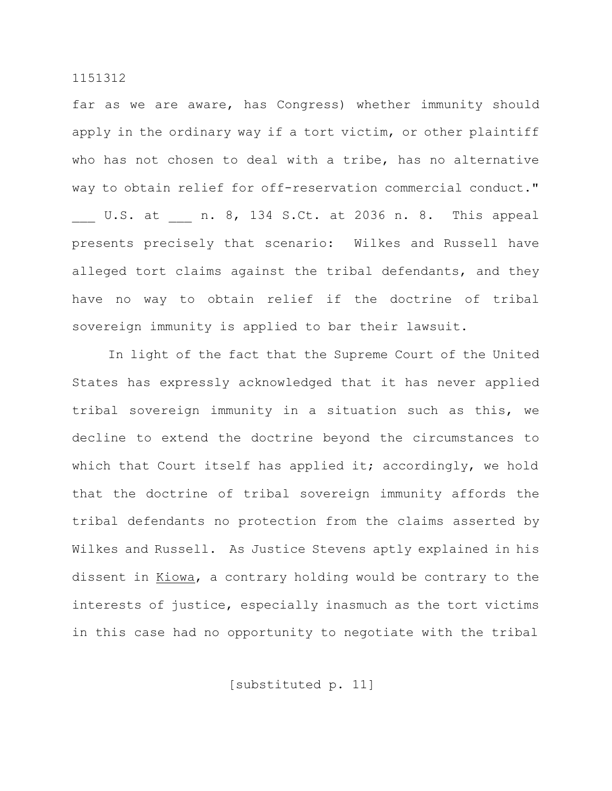far as we are aware, has Congress) whether immunity should apply in the ordinary way if a tort victim, or other plaintiff who has not chosen to deal with a tribe, has no alternative way to obtain relief for off-reservation commercial conduct." U.S. at  $n. 8$ , 134 S.Ct. at 2036 n. 8. This appeal presents precisely that scenario: Wilkes and Russell have alleged tort claims against the tribal defendants, and they have no way to obtain relief if the doctrine of tribal sovereign immunity is applied to bar their lawsuit.

In light of the fact that the Supreme Court of the United States has expressly acknowledged that it has never applied tribal sovereign immunity in a situation such as this, we decline to extend the doctrine beyond the circumstances to which that Court itself has applied it; accordingly, we hold that the doctrine of tribal sovereign immunity affords the tribal defendants no protection from the claims asserted by Wilkes and Russell. As Justice Stevens aptly explained in his dissent in Kiowa, a contrary holding would be contrary to the interests of justice, especially inasmuch as the tort victims in this case had no opportunity to negotiate with the tribal

[substituted p. 11]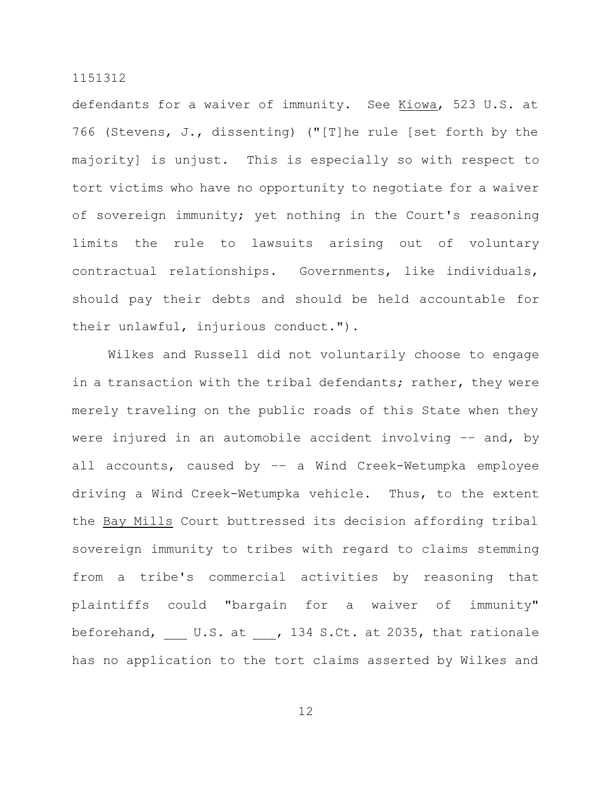defendants for a waiver of immunity. See Kiowa, 523 U.S. at 766 (Stevens, J., dissenting) ("[T]he rule [set forth by the majority] is unjust. This is especially so with respect to tort victims who have no opportunity to negotiate for a waiver of sovereign immunity; yet nothing in the Court's reasoning limits the rule to lawsuits arising out of voluntary contractual relationships. Governments, like individuals, should pay their debts and should be held accountable for their unlawful, injurious conduct.").

Wilkes and Russell did not voluntarily choose to engage in a transaction with the tribal defendants; rather, they were merely traveling on the public roads of this State when they were injured in an automobile accident involving –– and, by all accounts, caused by –– a Wind Creek-Wetumpka employee driving a Wind Creek-Wetumpka vehicle. Thus, to the extent the Bay Mills Court buttressed its decision affording tribal sovereign immunity to tribes with regard to claims stemming from a tribe's commercial activities by reasoning that plaintiffs could "bargain for a waiver of immunity" beforehand, U.S. at , 134 S.Ct. at 2035, that rationale has no application to the tort claims asserted by Wilkes and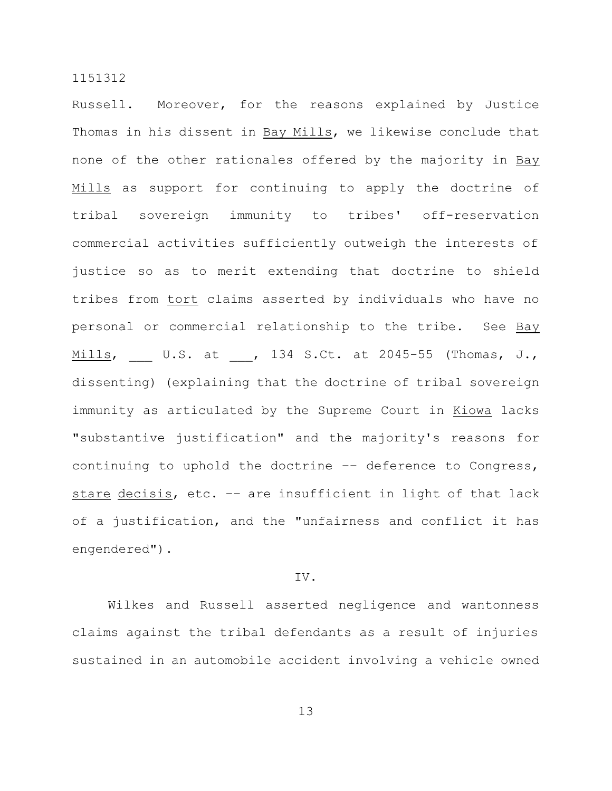Russell. Moreover, for the reasons explained by Justice Thomas in his dissent in Bay Mills, we likewise conclude that none of the other rationales offered by the majority in Bay Mills as support for continuing to apply the doctrine of tribal sovereign immunity to tribes' off-reservation commercial activities sufficiently outweigh the interests of justice so as to merit extending that doctrine to shield tribes from tort claims asserted by individuals who have no personal or commercial relationship to the tribe. See Bay Mills, U.S. at , 134 S.Ct. at 2045-55 (Thomas, J., dissenting) (explaining that the doctrine of tribal sovereign immunity as articulated by the Supreme Court in Kiowa lacks "substantive justification" and the majority's reasons for continuing to uphold the doctrine –– deference to Congress, stare decisis, etc. -- are insufficient in light of that lack of a justification, and the "unfairness and conflict it has engendered").

# IV.

Wilkes and Russell asserted negligence and wantonness claims against the tribal defendants as a result of injuries sustained in an automobile accident involving a vehicle owned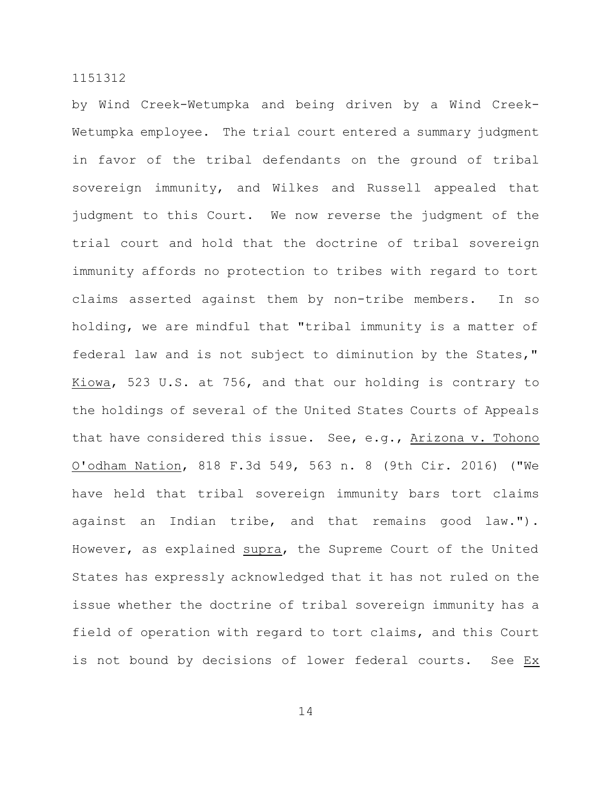by Wind Creek-Wetumpka and being driven by a Wind Creek-Wetumpka employee. The trial court entered a summary judgment in favor of the tribal defendants on the ground of tribal sovereign immunity, and Wilkes and Russell appealed that judgment to this Court. We now reverse the judgment of the trial court and hold that the doctrine of tribal sovereign immunity affords no protection to tribes with regard to tort claims asserted against them by non-tribe members. In so holding, we are mindful that "tribal immunity is a matter of federal law and is not subject to diminution by the States," Kiowa, 523 U.S. at 756, and that our holding is contrary to the holdings of several of the United States Courts of Appeals that have considered this issue. See, e.g., Arizona v. Tohono O'odham Nation, 818 F.3d 549, 563 n. 8 (9th Cir. 2016) ("We have held that tribal sovereign immunity bars tort claims against an Indian tribe, and that remains good law."). However, as explained supra, the Supreme Court of the United States has expressly acknowledged that it has not ruled on the issue whether the doctrine of tribal sovereign immunity has a field of operation with regard to tort claims, and this Court is not bound by decisions of lower federal courts. See Ex